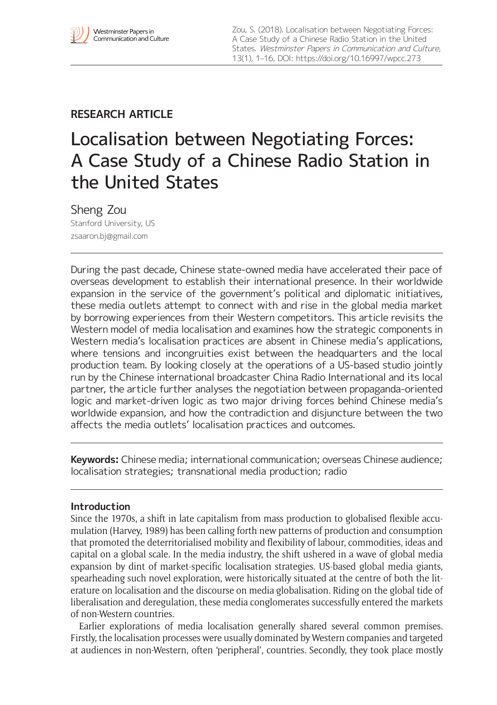# **RESEARCH ARTICLE**

# Localisation between Negotiating Forces: A Case Study of a Chinese Radio Station in the United States

Sheng Zou Stanford University, US [zsaaron.bj@gmail.com](mailto:zsaaron.bj@gmail.com)

During the past decade, Chinese state-owned media have accelerated their pace of overseas development to establish their international presence. In their worldwide expansion in the service of the government's political and diplomatic initiatives, these media outlets attempt to connect with and rise in the global media market by borrowing experiences from their Western competitors. This article revisits the Western model of media localisation and examines how the strategic components in Western media's localisation practices are absent in Chinese media's applications, where tensions and incongruities exist between the headquarters and the local production team. By looking closely at the operations of a US-based studio jointly run by the Chinese international broadcaster China Radio International and its local partner, the article further analyses the negotiation between propaganda-oriented logic and market-driven logic as two major driving forces behind Chinese media's worldwide expansion, and how the contradiction and disjuncture between the two affects the media outlets' localisation practices and outcomes.

**Keywords:** Chinese media; international communication; overseas Chinese audience; localisation strategies; transnational media production; radio

# **Introduction**

Since the 1970s, a shift in late capitalism from mass production to globalised flexible accumulation (Harvey, 1989) has been calling forth new patterns of production and consumption that promoted the deterritorialised mobility and flexibility of labour, commodities, ideas and capital on a global scale. In the media industry, the shift ushered in a wave of global media expansion by dint of market-specific localisation strategies. US-based global media giants, spearheading such novel exploration, were historically situated at the centre of both the literature on localisation and the discourse on media globalisation. Riding on the global tide of liberalisation and deregulation, these media conglomerates successfully entered the markets of non-Western countries.

Earlier explorations of media localisation generally shared several common premises. Firstly, the localisation processes were usually dominated by Western companies and targeted at audiences in non-Western, often 'peripheral', countries. Secondly, they took place mostly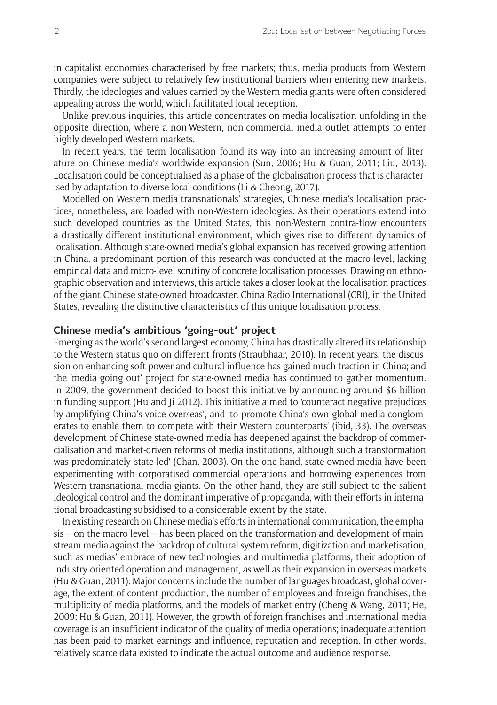in capitalist economies characterised by free markets; thus, media products from Western companies were subject to relatively few institutional barriers when entering new markets. Thirdly, the ideologies and values carried by the Western media giants were often considered appealing across the world, which facilitated local reception.

Unlike previous inquiries, this article concentrates on media localisation unfolding in the opposite direction, where a non-Western, non-commercial media outlet attempts to enter highly developed Western markets.

In recent years, the term localisation found its way into an increasing amount of literature on Chinese media's worldwide expansion (Sun, 2006; Hu & Guan, 2011; Liu, 2013). Localisation could be conceptualised as a phase of the globalisation process that is characterised by adaptation to diverse local conditions (Li & Cheong, 2017).

Modelled on Western media transnationals' strategies, Chinese media's localisation practices, nonetheless, are loaded with non-Western ideologies. As their operations extend into such developed countries as the United States, this non-Western contra-flow encounters a drastically different institutional environment, which gives rise to different dynamics of localisation. Although state-owned media's global expansion has received growing attention in China, a predominant portion of this research was conducted at the macro level, lacking empirical data and micro-level scrutiny of concrete localisation processes. Drawing on ethnographic observation and interviews, this article takes a closer look at the localisation practices of the giant Chinese state-owned broadcaster, China Radio International (CRI)*,* in the United States, revealing the distinctive characteristics of this unique localisation process.

# **Chinese media's ambitious 'going-out' project**

Emerging as the world's second largest economy, China has drastically altered its relationship to the Western status quo on different fronts (Straubhaar, 2010). In recent years, the discussion on enhancing soft power and cultural influence has gained much traction in China; and the 'media going out' project for state-owned media has continued to gather momentum. In 2009, the government decided to boost this initiative by announcing around \$6 billion in funding support (Hu and Ji 2012). This initiative aimed to 'counteract negative prejudices by amplifying China's voice overseas', and 'to promote China's own global media conglomerates to enable them to compete with their Western counterparts' (ibid, 33). The overseas development of Chinese state-owned media has deepened against the backdrop of commercialisation and market-driven reforms of media institutions, although such a transformation was predominately 'state-led' (Chan, 2003). On the one hand, state-owned media have been experimenting with corporatised commercial operations and borrowing experiences from Western transnational media giants. On the other hand, they are still subject to the salient ideological control and the dominant imperative of propaganda, with their efforts in international broadcasting subsidised to a considerable extent by the state.

In existing research on Chinese media's efforts in international communication, the emphasis – on the macro level – has been placed on the transformation and development of mainstream media against the backdrop of cultural system reform, digitization and marketisation, such as medias' embrace of new technologies and multimedia platforms, their adoption of industry-oriented operation and management, as well as their expansion in overseas markets (Hu & Guan, 2011). Major concerns include the number of languages broadcast, global coverage, the extent of content production, the number of employees and foreign franchises, the multiplicity of media platforms, and the models of market entry (Cheng & Wang, 2011; He, 2009; Hu & Guan, 2011). However, the growth of foreign franchises and international media coverage is an insufficient indicator of the quality of media operations; inadequate attention has been paid to market earnings and influence, reputation and reception. In other words, relatively scarce data existed to indicate the actual outcome and audience response.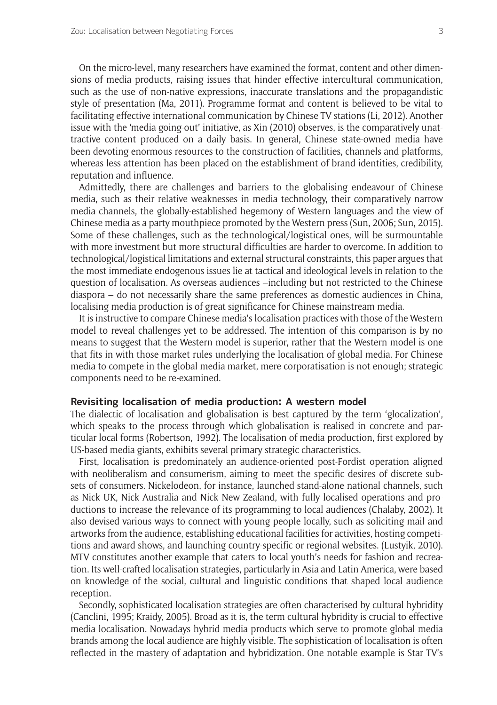On the micro-level, many researchers have examined the format, content and other dimensions of media products, raising issues that hinder effective intercultural communication, such as the use of non-native expressions, inaccurate translations and the propagandistic style of presentation (Ma, 2011). Programme format and content is believed to be vital to facilitating effective international communication by Chinese TV stations (Li, 2012). Another issue with the 'media going-out' initiative, as Xin (2010) observes, is the comparatively unattractive content produced on a daily basis. In general, Chinese state-owned media have been devoting enormous resources to the construction of facilities, channels and platforms, whereas less attention has been placed on the establishment of brand identities, credibility, reputation and influence.

Admittedly, there are challenges and barriers to the globalising endeavour of Chinese media, such as their relative weaknesses in media technology, their comparatively narrow media channels, the globally-established hegemony of Western languages and the view of Chinese media as a party mouthpiece promoted by the Western press (Sun, 2006; Sun, 2015). Some of these challenges, such as the technological/logistical ones, will be surmountable with more investment but more structural difficulties are harder to overcome. In addition to technological/logistical limitations and external structural constraints, this paper argues that the most immediate endogenous issues lie at tactical and ideological levels in relation to the question of localisation. As overseas audiences –including but not restricted to the Chinese diaspora – do not necessarily share the same preferences as domestic audiences in China, localising media production is of great significance for Chinese mainstream media.

It is instructive to compare Chinese media's localisation practices with those of the Western model to reveal challenges yet to be addressed. The intention of this comparison is by no means to suggest that the Western model is superior, rather that the Western model is one that fits in with those market rules underlying the localisation of global media. For Chinese media to compete in the global media market, mere corporatisation is not enough; strategic components need to be re-examined.

#### **Revisiting localisation of media production: A western model**

The dialectic of localisation and globalisation is best captured by the term 'glocalization', which speaks to the process through which globalisation is realised in concrete and particular local forms (Robertson, 1992). The localisation of media production, first explored by US-based media giants, exhibits several primary strategic characteristics.

First, localisation is predominately an audience-oriented post-Fordist operation aligned with neoliberalism and consumerism, aiming to meet the specific desires of discrete subsets of consumers. Nickelodeon, for instance, launched stand-alone national channels, such as Nick UK, Nick Australia and Nick New Zealand, with fully localised operations and productions to increase the relevance of its programming to local audiences (Chalaby, 2002). It also devised various ways to connect with young people locally, such as soliciting mail and artworks from the audience, establishing educational facilities for activities, hosting competitions and award shows, and launching country-specific or regional websites. (Lustyik, 2010). MTV constitutes another example that caters to local youth's needs for fashion and recreation. Its well-crafted localisation strategies, particularly in Asia and Latin America, were based on knowledge of the social, cultural and linguistic conditions that shaped local audience reception.

Secondly, sophisticated localisation strategies are often characterised by cultural hybridity (Canclini, 1995; Kraidy, 2005). Broad as it is, the term cultural hybridity is crucial to effective media localisation. Nowadays hybrid media products which serve to promote global media brands among the local audience are highly visible. The sophistication of localisation is often reflected in the mastery of adaptation and hybridization. One notable example is Star TV's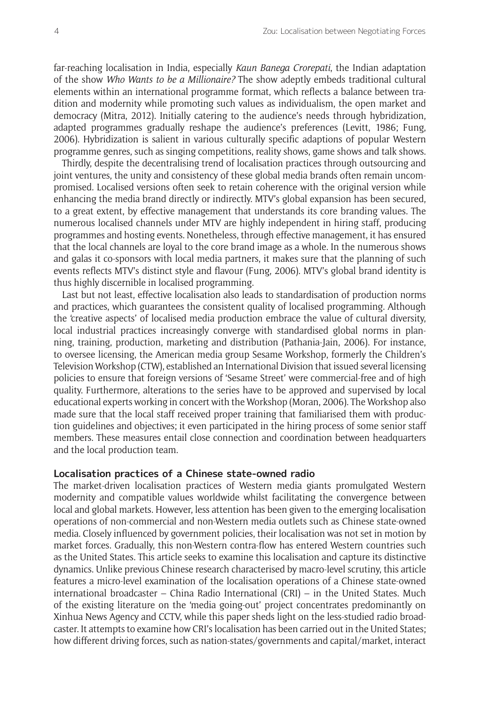far-reaching localisation in India, especially *Kaun Banega Crorepati*, the Indian adaptation of the show *Who Wants to be a Millionaire?* The show adeptly embeds traditional cultural elements within an international programme format, which reflects a balance between tradition and modernity while promoting such values as individualism, the open market and democracy (Mitra, 2012). Initially catering to the audience's needs through hybridization, adapted programmes gradually reshape the audience's preferences (Levitt, 1986; Fung, 2006). Hybridization is salient in various culturally specific adaptions of popular Western programme genres, such as singing competitions, reality shows, game shows and talk shows.

Thirdly, despite the decentralising trend of localisation practices through outsourcing and joint ventures, the unity and consistency of these global media brands often remain uncompromised. Localised versions often seek to retain coherence with the original version while enhancing the media brand directly or indirectly. MTV's global expansion has been secured, to a great extent, by effective management that understands its core branding values. The numerous localised channels under MTV are highly independent in hiring staff, producing programmes and hosting events. Nonetheless, through effective management, it has ensured that the local channels are loyal to the core brand image as a whole. In the numerous shows and galas it co-sponsors with local media partners, it makes sure that the planning of such events reflects MTV's distinct style and flavour (Fung, 2006). MTV's global brand identity is thus highly discernible in localised programming.

Last but not least, effective localisation also leads to standardisation of production norms and practices, which guarantees the consistent quality of localised programming. Although the 'creative aspects' of localised media production embrace the value of cultural diversity, local industrial practices increasingly converge with standardised global norms in planning, training, production, marketing and distribution (Pathania-Jain, 2006). For instance, to oversee licensing, the American media group Sesame Workshop, formerly the Children's Television Workshop (CTW), established an International Division that issued several licensing policies to ensure that foreign versions of 'Sesame Street' were commercial-free and of high quality. Furthermore, alterations to the series have to be approved and supervised by local educational experts working in concert with the Workshop (Moran, 2006). The Workshop also made sure that the local staff received proper training that familiarised them with production guidelines and objectives; it even participated in the hiring process of some senior staff members. These measures entail close connection and coordination between headquarters and the local production team.

# **Localisation practices of a Chinese state-owned radio**

The market-driven localisation practices of Western media giants promulgated Western modernity and compatible values worldwide whilst facilitating the convergence between local and global markets. However, less attention has been given to the emerging localisation operations of non-commercial and non-Western media outlets such as Chinese state-owned media. Closely influenced by government policies, their localisation was not set in motion by market forces. Gradually, this non-Western contra-flow has entered Western countries such as the United States. This article seeks to examine this localisation and capture its distinctive dynamics. Unlike previous Chinese research characterised by macro-level scrutiny, this article features a micro-level examination of the localisation operations of a Chinese state-owned international broadcaster – China Radio International (CRI) – in the United States. Much of the existing literature on the 'media going-out' project concentrates predominantly on Xinhua News Agency and CCTV, while this paper sheds light on the less-studied radio broadcaster. It attempts to examine how CRI's localisation has been carried out in the United States; how different driving forces, such as nation-states/governments and capital/market, interact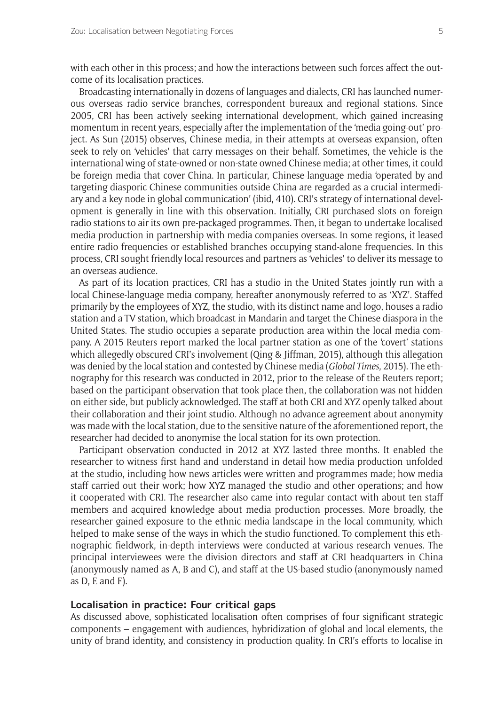with each other in this process; and how the interactions between such forces affect the outcome of its localisation practices.

Broadcasting internationally in dozens of languages and dialects, CRI has launched numerous overseas radio service branches, correspondent bureaux and regional stations. Since 2005, CRI has been actively seeking international development, which gained increasing momentum in recent years, especially after the implementation of the 'media going-out' project. As Sun (2015) observes, Chinese media, in their attempts at overseas expansion, often seek to rely on 'vehicles' that carry messages on their behalf. Sometimes, the vehicle is the international wing of state-owned or non-state owned Chinese media; at other times, it could be foreign media that cover China. In particular, Chinese-language media 'operated by and targeting diasporic Chinese communities outside China are regarded as a crucial intermediary and a key node in global communication' (ibid, 410). CRI's strategy of international development is generally in line with this observation. Initially, CRI purchased slots on foreign radio stations to air its own pre-packaged programmes. Then, it began to undertake localised media production in partnership with media companies overseas. In some regions, it leased entire radio frequencies or established branches occupying stand-alone frequencies. In this process, CRI sought friendly local resources and partners as 'vehicles' to deliver its message to an overseas audience.

As part of its location practices, CRI has a studio in the United States jointly run with a local Chinese-language media company, hereafter anonymously referred to as 'XYZ'. Staffed primarily by the employees of XYZ, the studio, with its distinct name and logo, houses a radio station and a TV station, which broadcast in Mandarin and target the Chinese diaspora in the United States. The studio occupies a separate production area within the local media company. A 2015 Reuters report marked the local partner station as one of the 'covert' stations which allegedly obscured CRI's involvement (Oing & Jiffman, 2015), although this allegation was denied by the local station and contested by Chinese media (*Global Times*, 2015). The ethnography for this research was conducted in 2012, prior to the release of the Reuters report; based on the participant observation that took place then, the collaboration was not hidden on either side, but publicly acknowledged. The staff at both CRI and XYZ openly talked about their collaboration and their joint studio. Although no advance agreement about anonymity was made with the local station, due to the sensitive nature of the aforementioned report, the researcher had decided to anonymise the local station for its own protection.

Participant observation conducted in 2012 at XYZ lasted three months. It enabled the researcher to witness first hand and understand in detail how media production unfolded at the studio, including how news articles were written and programmes made; how media staff carried out their work; how XYZ managed the studio and other operations; and how it cooperated with CRI. The researcher also came into regular contact with about ten staff members and acquired knowledge about media production processes. More broadly, the researcher gained exposure to the ethnic media landscape in the local community, which helped to make sense of the ways in which the studio functioned. To complement this ethnographic fieldwork, in-depth interviews were conducted at various research venues. The principal interviewees were the division directors and staff at CRI headquarters in China (anonymously named as A, B and C), and staff at the US-based studio (anonymously named as D, E and F).

# **Localisation in practice: Four critical gaps**

As discussed above, sophisticated localisation often comprises of four significant strategic components – engagement with audiences, hybridization of global and local elements, the unity of brand identity, and consistency in production quality. In CRI's efforts to localise in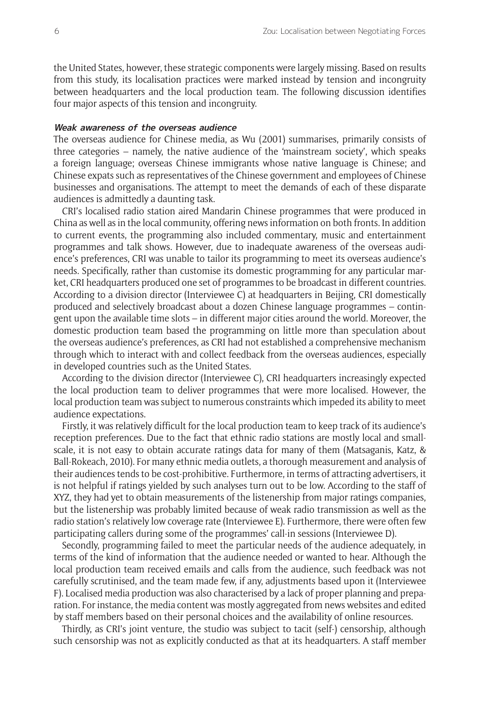the United States, however, these strategic components were largely missing. Based on results from this study, its localisation practices were marked instead by tension and incongruity between headquarters and the local production team. The following discussion identifies four major aspects of this tension and incongruity.

# **Weak awareness of the overseas audience**

The overseas audience for Chinese media, as Wu (2001) summarises, primarily consists of three categories – namely, the native audience of the 'mainstream society', which speaks a foreign language; overseas Chinese immigrants whose native language is Chinese; and Chinese expats such as representatives of the Chinese government and employees of Chinese businesses and organisations. The attempt to meet the demands of each of these disparate audiences is admittedly a daunting task.

CRI's localised radio station aired Mandarin Chinese programmes that were produced in China as well as in the local community, offering news information on both fronts. In addition to current events, the programming also included commentary, music and entertainment programmes and talk shows. However, due to inadequate awareness of the overseas audience's preferences, CRI was unable to tailor its programming to meet its overseas audience's needs. Specifically, rather than customise its domestic programming for any particular market, CRI headquarters produced one set of programmes to be broadcast in different countries. According to a division director (Interviewee C) at headquarters in Beijing, CRI domestically produced and selectively broadcast about a dozen Chinese language programmes – contingent upon the available time slots – in different major cities around the world. Moreover, the domestic production team based the programming on little more than speculation about the overseas audience's preferences, as CRI had not established a comprehensive mechanism through which to interact with and collect feedback from the overseas audiences, especially in developed countries such as the United States.

According to the division director (Interviewee C), CRI headquarters increasingly expected the local production team to deliver programmes that were more localised. However, the local production team was subject to numerous constraints which impeded its ability to meet audience expectations.

Firstly, it was relatively difficult for the local production team to keep track of its audience's reception preferences. Due to the fact that ethnic radio stations are mostly local and smallscale, it is not easy to obtain accurate ratings data for many of them (Matsaganis, Katz, & Ball-Rokeach, 2010). For many ethnic media outlets, a thorough measurement and analysis of their audiences tends to be cost-prohibitive. Furthermore, in terms of attracting advertisers, it is not helpful if ratings yielded by such analyses turn out to be low. According to the staff of XYZ, they had yet to obtain measurements of the listenership from major ratings companies, but the listenership was probably limited because of weak radio transmission as well as the radio station's relatively low coverage rate (Interviewee E). Furthermore, there were often few participating callers during some of the programmes' call-in sessions (Interviewee D).

Secondly, programming failed to meet the particular needs of the audience adequately, in terms of the kind of information that the audience needed or wanted to hear. Although the local production team received emails and calls from the audience, such feedback was not carefully scrutinised, and the team made few, if any, adjustments based upon it (Interviewee F). Localised media production was also characterised by a lack of proper planning and preparation. For instance, the media content was mostly aggregated from news websites and edited by staff members based on their personal choices and the availability of online resources.

Thirdly, as CRI's joint venture, the studio was subject to tacit (self-) censorship, although such censorship was not as explicitly conducted as that at its headquarters. A staff member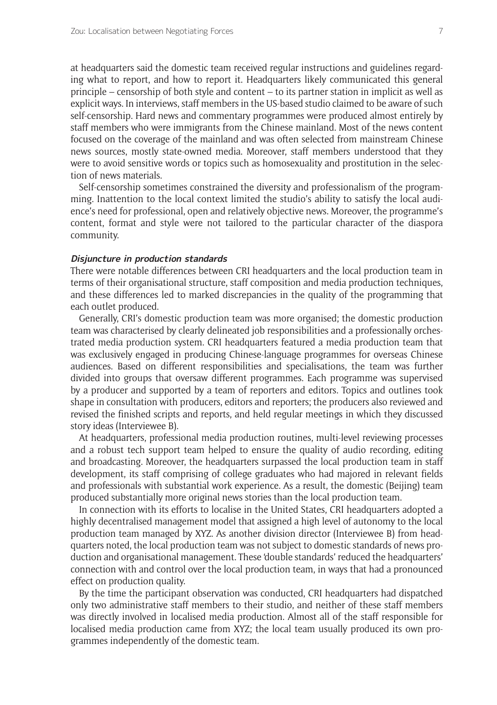at headquarters said the domestic team received regular instructions and guidelines regarding what to report, and how to report it. Headquarters likely communicated this general principle – censorship of both style and content – to its partner station in implicit as well as explicit ways. In interviews, staff members in the US-based studio claimed to be aware of such self-censorship. Hard news and commentary programmes were produced almost entirely by staff members who were immigrants from the Chinese mainland. Most of the news content focused on the coverage of the mainland and was often selected from mainstream Chinese news sources, mostly state-owned media. Moreover, staff members understood that they were to avoid sensitive words or topics such as homosexuality and prostitution in the selection of news materials.

Self-censorship sometimes constrained the diversity and professionalism of the programming. Inattention to the local context limited the studio's ability to satisfy the local audience's need for professional, open and relatively objective news. Moreover, the programme's content, format and style were not tailored to the particular character of the diaspora community.

#### **Disjuncture in production standards**

There were notable differences between CRI headquarters and the local production team in terms of their organisational structure, staff composition and media production techniques, and these differences led to marked discrepancies in the quality of the programming that each outlet produced.

Generally, CRI's domestic production team was more organised; the domestic production team was characterised by clearly delineated job responsibilities and a professionally orchestrated media production system. CRI headquarters featured a media production team that was exclusively engaged in producing Chinese-language programmes for overseas Chinese audiences. Based on different responsibilities and specialisations, the team was further divided into groups that oversaw different programmes. Each programme was supervised by a producer and supported by a team of reporters and editors. Topics and outlines took shape in consultation with producers, editors and reporters; the producers also reviewed and revised the finished scripts and reports, and held regular meetings in which they discussed story ideas (Interviewee B).

At headquarters, professional media production routines, multi-level reviewing processes and a robust tech support team helped to ensure the quality of audio recording, editing and broadcasting. Moreover, the headquarters surpassed the local production team in staff development, its staff comprising of college graduates who had majored in relevant fields and professionals with substantial work experience. As a result, the domestic (Beijing) team produced substantially more original news stories than the local production team.

In connection with its efforts to localise in the United States, CRI headquarters adopted a highly decentralised management model that assigned a high level of autonomy to the local production team managed by XYZ. As another division director (Interviewee B) from headquarters noted, the local production team was not subject to domestic standards of news production and organisational management. These 'double standards' reduced the headquarters' connection with and control over the local production team, in ways that had a pronounced effect on production quality.

By the time the participant observation was conducted, CRI headquarters had dispatched only two administrative staff members to their studio, and neither of these staff members was directly involved in localised media production. Almost all of the staff responsible for localised media production came from XYZ; the local team usually produced its own programmes independently of the domestic team.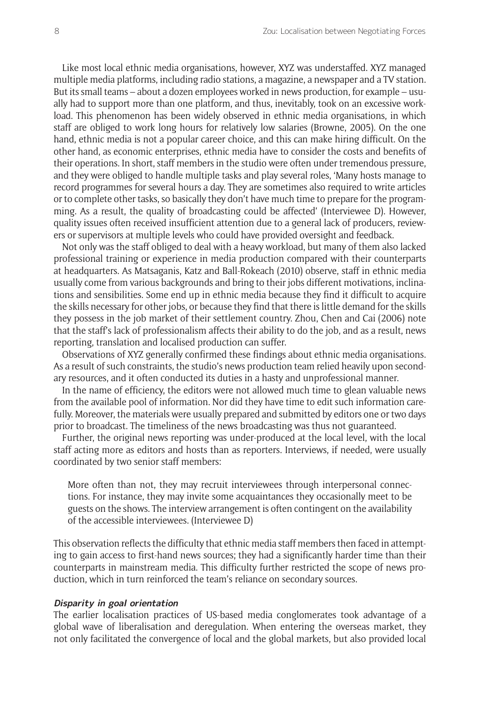Like most local ethnic media organisations, however, XYZ was understaffed. XYZ managed multiple media platforms, including radio stations, a magazine, a newspaper and a TV station. But its small teams – about a dozen employees worked in news production, for example – usually had to support more than one platform, and thus, inevitably, took on an excessive workload. This phenomenon has been widely observed in ethnic media organisations, in which staff are obliged to work long hours for relatively low salaries (Browne, 2005). On the one hand, ethnic media is not a popular career choice, and this can make hiring difficult. On the other hand, as economic enterprises, ethnic media have to consider the costs and benefits of their operations. In short, staff members in the studio were often under tremendous pressure, and they were obliged to handle multiple tasks and play several roles, 'Many hosts manage to record programmes for several hours a day. They are sometimes also required to write articles or to complete other tasks, so basically they don't have much time to prepare for the programming. As a result, the quality of broadcasting could be affected' (Interviewee D). However, quality issues often received insufficient attention due to a general lack of producers, reviewers or supervisors at multiple levels who could have provided oversight and feedback.

Not only was the staff obliged to deal with a heavy workload, but many of them also lacked professional training or experience in media production compared with their counterparts at headquarters. As Matsaganis, Katz and Ball-Rokeach (2010) observe, staff in ethnic media usually come from various backgrounds and bring to their jobs different motivations, inclinations and sensibilities. Some end up in ethnic media because they find it difficult to acquire the skills necessary for other jobs, or because they find that there is little demand for the skills they possess in the job market of their settlement country. Zhou, Chen and Cai (2006) note that the staff's lack of professionalism affects their ability to do the job, and as a result, news reporting, translation and localised production can suffer.

Observations of XYZ generally confirmed these findings about ethnic media organisations. As a result of such constraints, the studio's news production team relied heavily upon secondary resources, and it often conducted its duties in a hasty and unprofessional manner.

In the name of efficiency, the editors were not allowed much time to glean valuable news from the available pool of information. Nor did they have time to edit such information carefully. Moreover, the materials were usually prepared and submitted by editors one or two days prior to broadcast. The timeliness of the news broadcasting was thus not guaranteed.

Further, the original news reporting was under-produced at the local level, with the local staff acting more as editors and hosts than as reporters. Interviews, if needed, were usually coordinated by two senior staff members:

More often than not, they may recruit interviewees through interpersonal connections. For instance, they may invite some acquaintances they occasionally meet to be guests on the shows. The interview arrangement is often contingent on the availability of the accessible interviewees. (Interviewee D)

This observation reflects the difficulty that ethnic media staff members then faced in attempting to gain access to first-hand news sources; they had a significantly harder time than their counterparts in mainstream media. This difficulty further restricted the scope of news production, which in turn reinforced the team's reliance on secondary sources.

# **Disparity in goal orientation**

The earlier localisation practices of US-based media conglomerates took advantage of a global wave of liberalisation and deregulation. When entering the overseas market, they not only facilitated the convergence of local and the global markets, but also provided local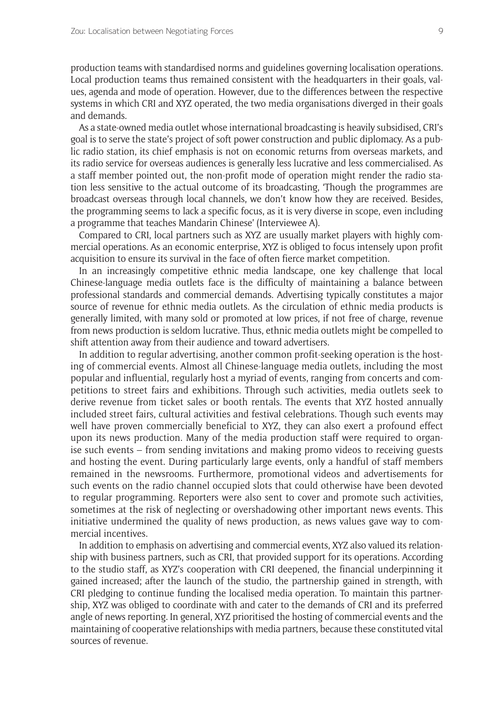production teams with standardised norms and guidelines governing localisation operations. Local production teams thus remained consistent with the headquarters in their goals, values, agenda and mode of operation. However, due to the differences between the respective systems in which CRI and XYZ operated, the two media organisations diverged in their goals and demands.

As a state-owned media outlet whose international broadcasting is heavily subsidised, CRI's goal is to serve the state's project of soft power construction and public diplomacy. As a public radio station, its chief emphasis is not on economic returns from overseas markets, and its radio service for overseas audiences is generally less lucrative and less commercialised. As a staff member pointed out, the non-profit mode of operation might render the radio station less sensitive to the actual outcome of its broadcasting, 'Though the programmes are broadcast overseas through local channels, we don't know how they are received. Besides, the programming seems to lack a specific focus, as it is very diverse in scope, even including a programme that teaches Mandarin Chinese' (Interviewee A).

Compared to CRI, local partners such as XYZ are usually market players with highly commercial operations. As an economic enterprise, XYZ is obliged to focus intensely upon profit acquisition to ensure its survival in the face of often fierce market competition.

In an increasingly competitive ethnic media landscape, one key challenge that local Chinese-language media outlets face is the difficulty of maintaining a balance between professional standards and commercial demands. Advertising typically constitutes a major source of revenue for ethnic media outlets. As the circulation of ethnic media products is generally limited, with many sold or promoted at low prices, if not free of charge, revenue from news production is seldom lucrative. Thus, ethnic media outlets might be compelled to shift attention away from their audience and toward advertisers.

In addition to regular advertising, another common profit-seeking operation is the hosting of commercial events. Almost all Chinese-language media outlets, including the most popular and influential, regularly host a myriad of events, ranging from concerts and competitions to street fairs and exhibitions. Through such activities, media outlets seek to derive revenue from ticket sales or booth rentals. The events that XYZ hosted annually included street fairs, cultural activities and festival celebrations. Though such events may well have proven commercially beneficial to XYZ, they can also exert a profound effect upon its news production. Many of the media production staff were required to organise such events – from sending invitations and making promo videos to receiving guests and hosting the event. During particularly large events, only a handful of staff members remained in the newsrooms. Furthermore, promotional videos and advertisements for such events on the radio channel occupied slots that could otherwise have been devoted to regular programming. Reporters were also sent to cover and promote such activities, sometimes at the risk of neglecting or overshadowing other important news events. This initiative undermined the quality of news production, as news values gave way to commercial incentives.

In addition to emphasis on advertising and commercial events, XYZ also valued its relationship with business partners, such as CRI, that provided support for its operations. According to the studio staff, as XYZ's cooperation with CRI deepened, the financial underpinning it gained increased; after the launch of the studio, the partnership gained in strength, with CRI pledging to continue funding the localised media operation. To maintain this partnership, XYZ was obliged to coordinate with and cater to the demands of CRI and its preferred angle of news reporting. In general, XYZ prioritised the hosting of commercial events and the maintaining of cooperative relationships with media partners, because these constituted vital sources of revenue.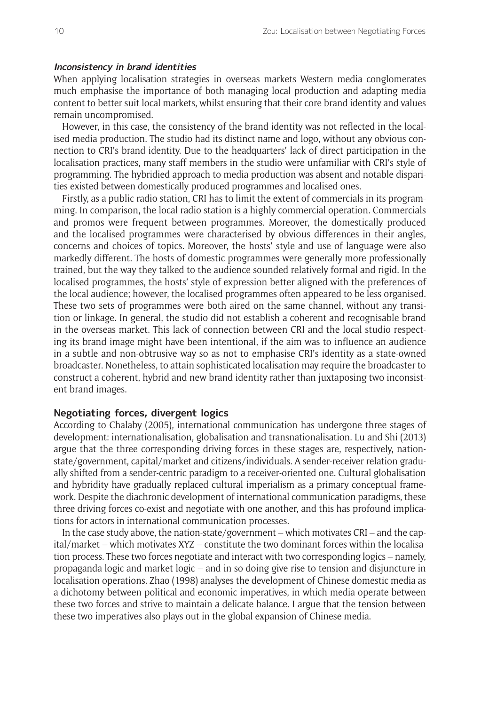## **Inconsistency in brand identities**

When applying localisation strategies in overseas markets Western media conglomerates much emphasise the importance of both managing local production and adapting media content to better suit local markets, whilst ensuring that their core brand identity and values remain uncompromised.

However, in this case, the consistency of the brand identity was not reflected in the localised media production. The studio had its distinct name and logo, without any obvious connection to CRI's brand identity. Due to the headquarters' lack of direct participation in the localisation practices, many staff members in the studio were unfamiliar with CRI's style of programming. The hybridied approach to media production was absent and notable disparities existed between domestically produced programmes and localised ones.

Firstly, as a public radio station, CRI has to limit the extent of commercials in its programming. In comparison, the local radio station is a highly commercial operation. Commercials and promos were frequent between programmes. Moreover, the domestically produced and the localised programmes were characterised by obvious differences in their angles, concerns and choices of topics. Moreover, the hosts' style and use of language were also markedly different. The hosts of domestic programmes were generally more professionally trained, but the way they talked to the audience sounded relatively formal and rigid. In the localised programmes, the hosts' style of expression better aligned with the preferences of the local audience; however, the localised programmes often appeared to be less organised. These two sets of programmes were both aired on the same channel, without any transition or linkage. In general, the studio did not establish a coherent and recognisable brand in the overseas market. This lack of connection between CRI and the local studio respecting its brand image might have been intentional, if the aim was to influence an audience in a subtle and non-obtrusive way so as not to emphasise CRI's identity as a state-owned broadcaster. Nonetheless, to attain sophisticated localisation may require the broadcaster to construct a coherent, hybrid and new brand identity rather than juxtaposing two inconsistent brand images.

## **Negotiating forces, divergent logics**

According to Chalaby (2005), international communication has undergone three stages of development: internationalisation, globalisation and transnationalisation. Lu and Shi (2013) argue that the three corresponding driving forces in these stages are, respectively, nationstate/government, capital/market and citizens/individuals. A sender-receiver relation gradually shifted from a sender-centric paradigm to a receiver-oriented one. Cultural globalisation and hybridity have gradually replaced cultural imperialism as a primary conceptual framework. Despite the diachronic development of international communication paradigms, these three driving forces co-exist and negotiate with one another, and this has profound implications for actors in international communication processes.

In the case study above, the nation-state/government – which motivates CRI – and the capital/market – which motivates XYZ – constitute the two dominant forces within the localisation process. These two forces negotiate and interact with two corresponding logics – namely, propaganda logic and market logic – and in so doing give rise to tension and disjuncture in localisation operations. Zhao (1998) analyses the development of Chinese domestic media as a dichotomy between political and economic imperatives, in which media operate between these two forces and strive to maintain a delicate balance. I argue that the tension between these two imperatives also plays out in the global expansion of Chinese media.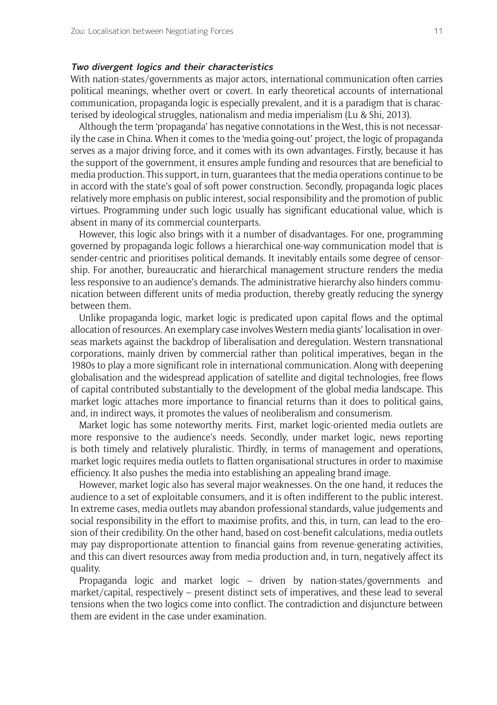# **Two divergent logics and their characteristics**

With nation-states/governments as major actors, international communication often carries political meanings, whether overt or covert. In early theoretical accounts of international communication, propaganda logic is especially prevalent, and it is a paradigm that is characterised by ideological struggles, nationalism and media imperialism (Lu & Shi, 2013).

Although the term 'propaganda' has negative connotations in the West, this is not necessarily the case in China. When it comes to the 'media going-out' project, the logic of propaganda serves as a major driving force, and it comes with its own advantages. Firstly, because it has the support of the government, it ensures ample funding and resources that are beneficial to media production. This support, in turn, guarantees that the media operations continue to be in accord with the state's goal of soft power construction. Secondly, propaganda logic places relatively more emphasis on public interest, social responsibility and the promotion of public virtues. Programming under such logic usually has significant educational value, which is absent in many of its commercial counterparts.

However, this logic also brings with it a number of disadvantages. For one, programming governed by propaganda logic follows a hierarchical one-way communication model that is sender-centric and prioritises political demands. It inevitably entails some degree of censorship. For another, bureaucratic and hierarchical management structure renders the media less responsive to an audience's demands. The administrative hierarchy also hinders communication between different units of media production, thereby greatly reducing the synergy between them.

Unlike propaganda logic, market logic is predicated upon capital flows and the optimal allocation of resources. An exemplary case involves Western media giants' localisation in overseas markets against the backdrop of liberalisation and deregulation. Western transnational corporations, mainly driven by commercial rather than political imperatives, began in the 1980s to play a more significant role in international communication. Along with deepening globalisation and the widespread application of satellite and digital technologies, free flows of capital contributed substantially to the development of the global media landscape. This market logic attaches more importance to financial returns than it does to political gains, and, in indirect ways, it promotes the values of neoliberalism and consumerism.

Market logic has some noteworthy merits. First, market logic-oriented media outlets are more responsive to the audience's needs. Secondly, under market logic, news reporting is both timely and relatively pluralistic. Thirdly, in terms of management and operations, market logic requires media outlets to flatten organisational structures in order to maximise efficiency. It also pushes the media into establishing an appealing brand image.

However, market logic also has several major weaknesses. On the one hand, it reduces the audience to a set of exploitable consumers, and it is often indifferent to the public interest. In extreme cases, media outlets may abandon professional standards, value judgements and social responsibility in the effort to maximise profits, and this, in turn, can lead to the erosion of their credibility. On the other hand, based on cost-benefit calculations, media outlets may pay disproportionate attention to financial gains from revenue-generating activities, and this can divert resources away from media production and, in turn, negatively affect its quality.

Propaganda logic and market logic – driven by nation-states/governments and market/capital, respectively – present distinct sets of imperatives, and these lead to several tensions when the two logics come into conflict. The contradiction and disjuncture between them are evident in the case under examination.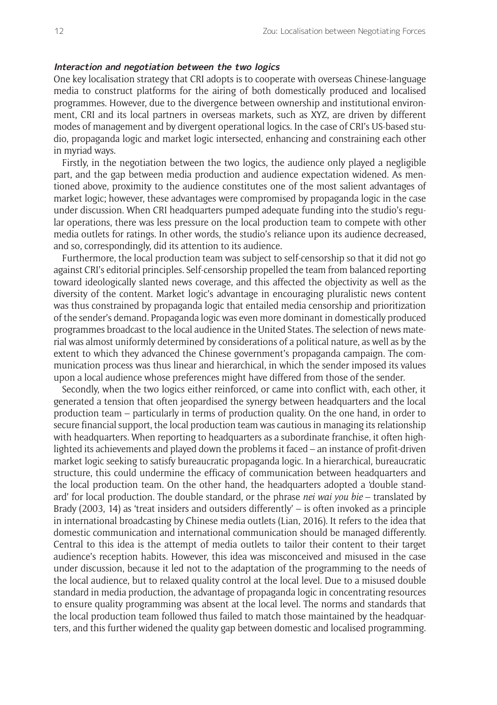### **Interaction and negotiation between the two logics**

One key localisation strategy that CRI adopts is to cooperate with overseas Chinese-language media to construct platforms for the airing of both domestically produced and localised programmes. However, due to the divergence between ownership and institutional environment, CRI and its local partners in overseas markets, such as XYZ, are driven by different modes of management and by divergent operational logics. In the case of CRI's US-based studio, propaganda logic and market logic intersected, enhancing and constraining each other in myriad ways.

Firstly, in the negotiation between the two logics, the audience only played a negligible part, and the gap between media production and audience expectation widened. As mentioned above, proximity to the audience constitutes one of the most salient advantages of market logic; however, these advantages were compromised by propaganda logic in the case under discussion. When CRI headquarters pumped adequate funding into the studio's regular operations, there was less pressure on the local production team to compete with other media outlets for ratings. In other words, the studio's reliance upon its audience decreased, and so, correspondingly, did its attention to its audience.

Furthermore, the local production team was subject to self-censorship so that it did not go against CRI's editorial principles. Self-censorship propelled the team from balanced reporting toward ideologically slanted news coverage, and this affected the objectivity as well as the diversity of the content. Market logic's advantage in encouraging pluralistic news content was thus constrained by propaganda logic that entailed media censorship and prioritization of the sender's demand. Propaganda logic was even more dominant in domestically produced programmes broadcast to the local audience in the United States. The selection of news material was almost uniformly determined by considerations of a political nature, as well as by the extent to which they advanced the Chinese government's propaganda campaign. The communication process was thus linear and hierarchical, in which the sender imposed its values upon a local audience whose preferences might have differed from those of the sender.

Secondly, when the two logics either reinforced, or came into conflict with, each other, it generated a tension that often jeopardised the synergy between headquarters and the local production team – particularly in terms of production quality. On the one hand, in order to secure financial support, the local production team was cautious in managing its relationship with headquarters. When reporting to headquarters as a subordinate franchise, it often highlighted its achievements and played down the problems it faced – an instance of profit-driven market logic seeking to satisfy bureaucratic propaganda logic. In a hierarchical, bureaucratic structure, this could undermine the efficacy of communication between headquarters and the local production team. On the other hand, the headquarters adopted a 'double standard' for local production. The double standard, or the phrase *nei wai you bie* – translated by Brady (2003, 14) as 'treat insiders and outsiders differently' – is often invoked as a principle in international broadcasting by Chinese media outlets (Lian, 2016). It refers to the idea that domestic communication and international communication should be managed differently. Central to this idea is the attempt of media outlets to tailor their content to their target audience's reception habits. However, this idea was misconceived and misused in the case under discussion, because it led not to the adaptation of the programming to the needs of the local audience, but to relaxed quality control at the local level. Due to a misused double standard in media production, the advantage of propaganda logic in concentrating resources to ensure quality programming was absent at the local level. The norms and standards that the local production team followed thus failed to match those maintained by the headquarters, and this further widened the quality gap between domestic and localised programming.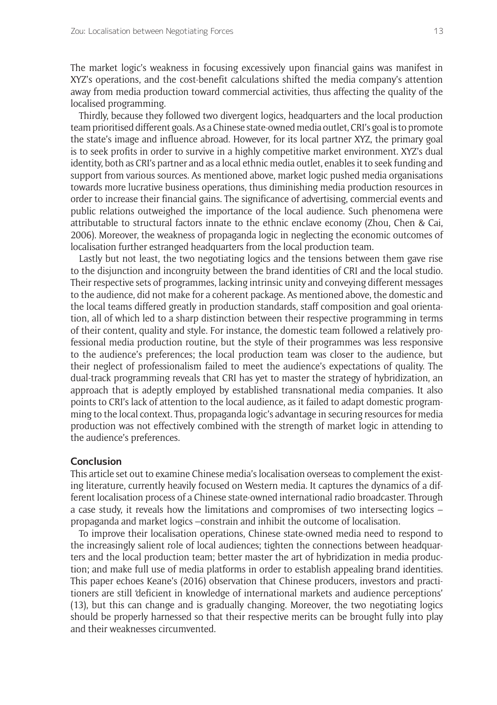The market logic's weakness in focusing excessively upon financial gains was manifest in XYZ's operations, and the cost-benefit calculations shifted the media company's attention away from media production toward commercial activities, thus affecting the quality of the localised programming.

Thirdly, because they followed two divergent logics, headquarters and the local production team prioritised different goals. As a Chinese state-owned media outlet, CRI's goal is to promote the state's image and influence abroad. However, for its local partner XYZ, the primary goal is to seek profits in order to survive in a highly competitive market environment. XYZ's dual identity, both as CRI's partner and as a local ethnic media outlet, enables it to seek funding and support from various sources. As mentioned above, market logic pushed media organisations towards more lucrative business operations, thus diminishing media production resources in order to increase their financial gains. The significance of advertising, commercial events and public relations outweighed the importance of the local audience. Such phenomena were attributable to structural factors innate to the ethnic enclave economy (Zhou, Chen & Cai, 2006). Moreover, the weakness of propaganda logic in neglecting the economic outcomes of localisation further estranged headquarters from the local production team.

Lastly but not least, the two negotiating logics and the tensions between them gave rise to the disjunction and incongruity between the brand identities of CRI and the local studio. Their respective sets of programmes, lacking intrinsic unity and conveying different messages to the audience, did not make for a coherent package. As mentioned above, the domestic and the local teams differed greatly in production standards, staff composition and goal orientation, all of which led to a sharp distinction between their respective programming in terms of their content, quality and style. For instance, the domestic team followed a relatively professional media production routine, but the style of their programmes was less responsive to the audience's preferences; the local production team was closer to the audience, but their neglect of professionalism failed to meet the audience's expectations of quality. The dual-track programming reveals that CRI has yet to master the strategy of hybridization, an approach that is adeptly employed by established transnational media companies. It also points to CRI's lack of attention to the local audience, as it failed to adapt domestic programming to the local context. Thus, propaganda logic's advantage in securing resources for media production was not effectively combined with the strength of market logic in attending to the audience's preferences.

# **Conclusion**

This article set out to examine Chinese media's localisation overseas to complement the existing literature, currently heavily focused on Western media. It captures the dynamics of a different localisation process of a Chinese state-owned international radio broadcaster. Through a case study, it reveals how the limitations and compromises of two intersecting logics – propaganda and market logics –constrain and inhibit the outcome of localisation.

To improve their localisation operations, Chinese state-owned media need to respond to the increasingly salient role of local audiences; tighten the connections between headquarters and the local production team; better master the art of hybridization in media production; and make full use of media platforms in order to establish appealing brand identities. This paper echoes Keane's (2016) observation that Chinese producers, investors and practitioners are still 'deficient in knowledge of international markets and audience perceptions' (13), but this can change and is gradually changing. Moreover, the two negotiating logics should be properly harnessed so that their respective merits can be brought fully into play and their weaknesses circumvented.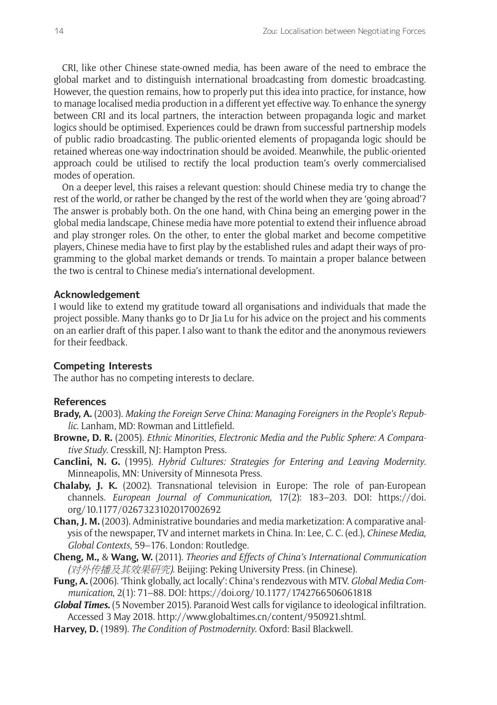CRI, like other Chinese state-owned media, has been aware of the need to embrace the global market and to distinguish international broadcasting from domestic broadcasting. However, the question remains, how to properly put this idea into practice, for instance, how to manage localised media production in a different yet effective way. To enhance the synergy between CRI and its local partners, the interaction between propaganda logic and market logics should be optimised. Experiences could be drawn from successful partnership models of public radio broadcasting. The public-oriented elements of propaganda logic should be retained whereas one-way indoctrination should be avoided. Meanwhile, the public-oriented approach could be utilised to rectify the local production team's overly commercialised modes of operation.

On a deeper level, this raises a relevant question: should Chinese media try to change the rest of the world, or rather be changed by the rest of the world when they are 'going abroad'? The answer is probably both. On the one hand, with China being an emerging power in the global media landscape, Chinese media have more potential to extend their influence abroad and play stronger roles. On the other, to enter the global market and become competitive players, Chinese media have to first play by the established rules and adapt their ways of programming to the global market demands or trends. To maintain a proper balance between the two is central to Chinese media's international development.

#### **Acknowledgement**

I would like to extend my gratitude toward all organisations and individuals that made the project possible. Many thanks go to Dr Jia Lu for his advice on the project and his comments on an earlier draft of this paper. I also want to thank the editor and the anonymous reviewers for their feedback.

#### **Competing Interests**

The author has no competing interests to declare.

#### **References**

- **Brady, A.** (2003). *Making the Foreign Serve China: Managing Foreigners in the People's Republic*. Lanham, MD: Rowman and Littlefield.
- **Browne, D. R.** (2005). *Ethnic Minorities, Electronic Media and the Public Sphere: A Comparative Study*. Cresskill, NJ: Hampton Press.
- **Canclini, N. G.** (1995). *Hybrid Cultures: Strategies for Entering and Leaving Modernity*. Minneapolis, MN: University of Minnesota Press.
- **Chalaby, J. K.** (2002). Transnational television in Europe: The role of pan-European channels. *European Journal of Communication*, 17(2): 183–203. DOI: [https://doi.](https://doi.org/10.1177/0267323102017002692) [org/10.1177/0267323102017002692](https://doi.org/10.1177/0267323102017002692)
- **Chan, J. M.** (2003). Administrative boundaries and media marketization: A comparative analysis of the newspaper, TV and internet markets in China. In: Lee, C. C. (ed.), *Chinese Media, Global Contexts*, 59–176. London: Routledge.
- **Cheng, M.,** & **Wang, W.** (2011). *Theories and Effects of China's International Communication (*对外传播及其效果研究*)*. Beijing: Peking University Press. (in Chinese).
- **Fung, A.** (2006). 'Think globally, act locally': China's rendezvous with MTV. *Global Media Communication*, 2(1): 71–88. DOI: <https://doi.org/10.1177/1742766506061818>
- *Global Times***.** (5 November 2015). Paranoid West calls for vigilance to ideological infiltration. Accessed 3 May 2018. [http://www.globaltimes.cn/content/950921.shtml.](http://www.globaltimes.cn/content/950921.shtml)
- **Harvey, D.** (1989). *The Condition of Postmodernity*. Oxford: Basil Blackwell.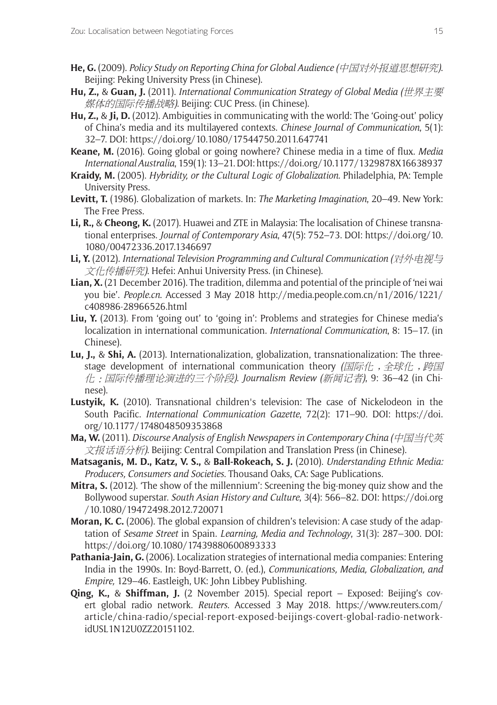- **He, G.** (2009). *Policy Study on Reporting China for Global Audience (*中国对外报道思想研究*)*. Beijing: Peking University Press (in Chinese).
- **Hu, Z.,** & **Guan, J.** (2011). *International Communication Strategy of Global Media (*世界主要 媒体的国际传播战略*)*. Beijing: CUC Press. (in Chinese).
- **Hu, Z.,** & **Ji, D.** (2012). Ambiguities in communicating with the world: The 'Going-out' policy of China's media and its multilayered contexts. *Chinese Journal of Communication*, 5(1): 32–7. DOI:<https://doi.org/10.1080/17544750.2011.647741>
- **Keane, M.** (2016). Going global or going nowhere? Chinese media in a time of flux. *Media International Australia*, 159(1): 13–21. DOI:<https://doi.org/10.1177/1329878X16638937>
- **Kraidy, M.** (2005). *Hybridity, or the Cultural Logic of Globalization*. Philadelphia, PA: Temple University Press.
- **Levitt, T.** (1986). Globalization of markets. In: *The Marketing Imagination*, 20–49. New York: The Free Press.
- **Li, R.,** & **Cheong, K.** (2017). Huawei and ZTE in Malaysia: The localisation of Chinese transnational enterprises. *Journal of Contemporary Asia*, 47(5): 752–73. DOI: [https://doi.org/10.](https://doi.org/10.1080/00472336.2017.1346697) [1080/00472336.2017.1346697](https://doi.org/10.1080/00472336.2017.1346697)
- **Li, Y.** (2012). *International Television Programming and Cultural Communication (*对外电视与 文化传播研究*)*. Hefei: Anhui University Press. (in Chinese).
- **Lian, X.** (21 December 2016). The tradition, dilemma and potential of the principle of 'nei wai you bie'. *[People.cn](http://www.people.cn/)*. Accessed 3 May 2018 [http://media.people.com.cn/n1/2016/1221/](http://media.people.com.cn/n1/2016/1221/c408986-28966526.html) [c408986-28966526.html](http://media.people.com.cn/n1/2016/1221/c408986-28966526.html)
- **Liu, Y.** (2013). From 'going out' to 'going in': Problems and strategies for Chinese media's localization in international communication. *International Communication*, 8: 15–17. (in Chinese).
- **Lu, J.,** & **Shi, A.** (2013). Internationalization, globalization, transnationalization: The threestage development of international communication theory *(国际化, 全球化, 跨国* 化:国际传播理论演进的三个阶段*)*. *Journalism Review (*新闻记者*)*, 9: 36–42 (in Chinese).
- **Lustyik, K.** (2010). Transnational children's television: The case of Nickelodeon in the South Pacific. *International Communication Gazette*, 72(2): 171–90. DOI: [https://doi.](https://doi.org/10.1177/1748048509353868) [org/10.1177/1748048509353868](https://doi.org/10.1177/1748048509353868)
- **Ma, W.** (2011). *Discourse Analysis of English Newspapers in Contemporary China (*中国当代英 文报话语分析*)*. Beijing: Central Compilation and Translation Press (in Chinese).
- **Matsaganis, M. D., Katz, V. S.,** & **Ball-Rokeach, S. J.** (2010). *Understanding Ethnic Media: Producers, Consumers and Societies*. Thousand Oaks, CA: Sage Publications.
- **Mitra, S.** (2012). 'The show of the millennium': Screening the big-money quiz show and the Bollywood superstar. *South Asian History and Culture*, 3(4): 566–82. DOI: [https://doi.org](https://doi.org/10.1080/19472498.2012.720071) [/10.1080/19472498.2012.720071](https://doi.org/10.1080/19472498.2012.720071)
- **Moran, K. C.** (2006). The global expansion of children's television: A case study of the adaptation of *Sesame Street* in Spain. *Learning, Media and Technology*, 31(3): 287–300. DOI: <https://doi.org/10.1080/17439880600893333>
- **Pathania-Jain, G.** (2006). Localization strategies of international media companies: Entering India in the 1990s. In: Boyd-Barrett, O. (ed.), *Communications, Media, Globalization, and Empire,* 129–46. Eastleigh, UK: John Libbey Publishing.
- **Qing, K.,** & **Shiffman, J.** (2 November 2015). Special report Exposed: Beijing's covert global radio network. *Reuters*. Accessed 3 May 2018. [https://www.reuters.com/](https://www.reuters.com/article/china-radio/special-report-exposed-beijings-covert-global-radio-network-idUSL1N12U0ZZ20151102) [article/china-radio/special-report-exposed-beijings-covert-global-radio-network](https://www.reuters.com/article/china-radio/special-report-exposed-beijings-covert-global-radio-network-idUSL1N12U0ZZ20151102)[idUSL1N12U0ZZ20151102.](https://www.reuters.com/article/china-radio/special-report-exposed-beijings-covert-global-radio-network-idUSL1N12U0ZZ20151102)